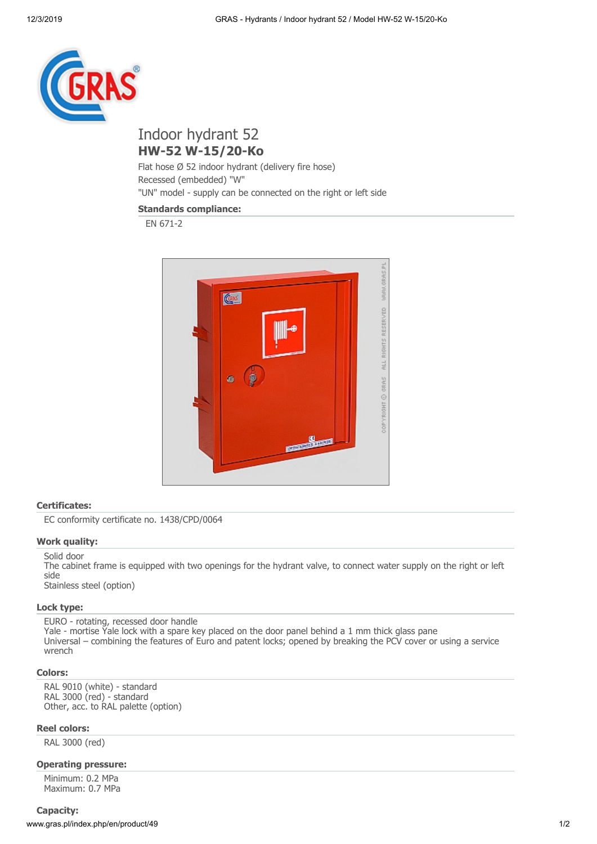

# Indoor hydrant 52 **HW-52 W-15/20-Ko**

Flat hose Ø 52 indoor hydrant (delivery fire hose) Recessed (embedded) "W" "UN" model - supply can be connected on the right or left side

# **Standards compliance:**

EN 671-2



## **Certificates:**

EC conformity certificate no. 1438/CPD/0064

# **Work quality:**

Solid door The cabinet frame is equipped with two openings for the hydrant valve, to connect water supply on the right or left side Stainless steel (option)

## **Lock type:**

EURO - rotating, recessed door handle Yale - mortise Yale lock with a spare key placed on the door panel behind a 1 mm thick glass pane Universal – combining the features of Euro and patent locks; opened by breaking the PCV cover or using a service wrench

#### **Colors:**

RAL 9010 (white) - standard RAL 3000 (red) - standard Other, acc. to RAL palette (option)

#### **Reel colors:**

RAL 3000 (red)

# **Operating pressure:**

Minimum: 0.2 MPa Maximum: 0.7 MPa